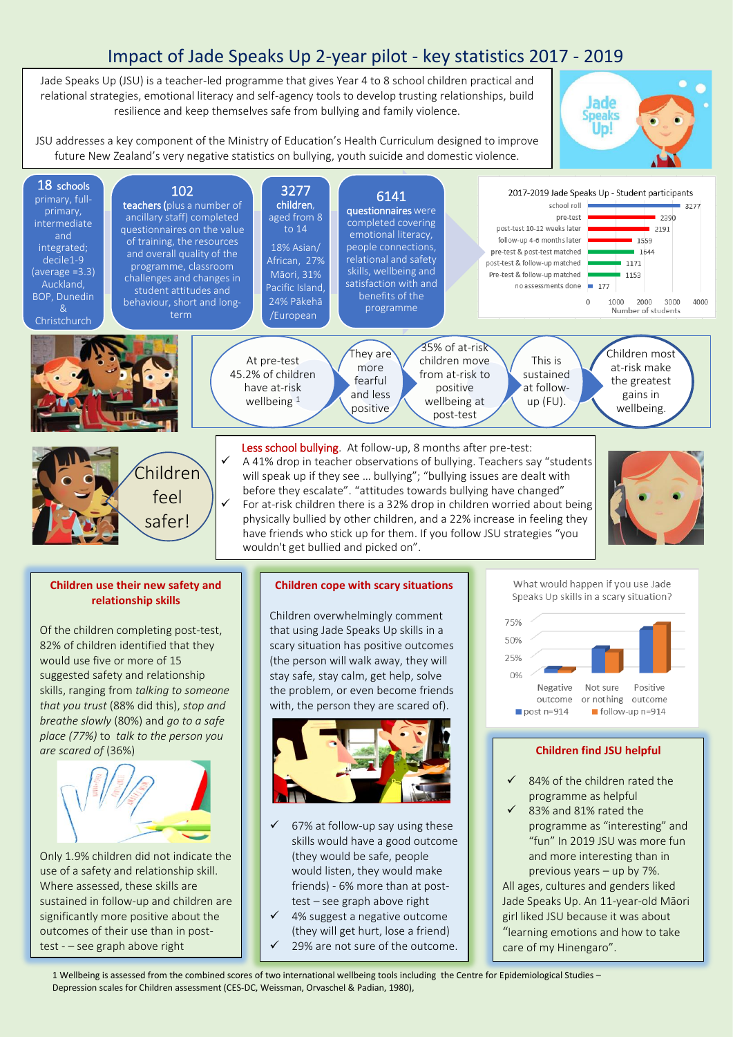## Impact of Jade Speaks Up 2-year pilot - key statistics 2017 - 2019

Jade Speaks Up (JSU) is a teacher-led programme that gives Year 4 to 8 school children practical and relational strategies, emotional literacy and self-agency tools to develop trusting relationships, build resilience and keep themselves safe from bullying and family violence.

į lade Uni

All ages, cultures and genders liked Jade Speaks Up. An 11-year-old Māori girl liked JSU because it was about "learning emotions and how to take

care of my Hinengaro".

JSU addresses a key component of the Ministry of Education's Health Curriculum designed to improve future New Zealand's very negative statistics on bullying, youth suicide and domestic violence.



use of a safety and relationship skill. Where assessed, these skills are sustained in follow-up and children are significantly more positive about the outcomes of their use than in posttest - - see graph above right

- would listen, they would make friends) - 6% more than at posttest – see graph above right
- 4% suggest a negative outcome (they will get hurt, lose a friend) 29% are not sure of the outcome.

1 Wellbeing is assessed from the combined scores of two international wellbeing tools including the Centre for Epidemiological Studies – Depression scales for Children assessment (CES-DC, Weissman, Orvaschel & Padian, 1980),